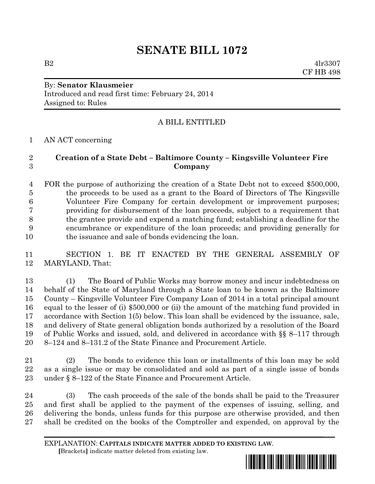# **SENATE BILL 1072**

 $B2 \t 4lr3307$ CF HB 498

### By: **Senator Klausmeier** Introduced and read first time: February 24, 2014 Assigned to: Rules

# A BILL ENTITLED

AN ACT concerning

## **Creation of a State Debt – Baltimore County – Kingsville Volunteer Fire Company**

 FOR the purpose of authorizing the creation of a State Debt not to exceed \$500,000, the proceeds to be used as a grant to the Board of Directors of The Kingsville Volunteer Fire Company for certain development or improvement purposes; providing for disbursement of the loan proceeds, subject to a requirement that the grantee provide and expend a matching fund; establishing a deadline for the encumbrance or expenditure of the loan proceeds; and providing generally for the issuance and sale of bonds evidencing the loan.

 SECTION 1. BE IT ENACTED BY THE GENERAL ASSEMBLY OF MARYLAND, That:

 (1) The Board of Public Works may borrow money and incur indebtedness on behalf of the State of Maryland through a State loan to be known as the Baltimore County – Kingsville Volunteer Fire Company Loan of 2014 in a total principal amount equal to the lesser of (i) \$500,000 or (ii) the amount of the matching fund provided in accordance with Section 1(5) below. This loan shall be evidenced by the issuance, sale, and delivery of State general obligation bonds authorized by a resolution of the Board of Public Works and issued, sold, and delivered in accordance with §§ 8–117 through 8–124 and 8–131.2 of the State Finance and Procurement Article.

 (2) The bonds to evidence this loan or installments of this loan may be sold as a single issue or may be consolidated and sold as part of a single issue of bonds under § 8–122 of the State Finance and Procurement Article.

 (3) The cash proceeds of the sale of the bonds shall be paid to the Treasurer and first shall be applied to the payment of the expenses of issuing, selling, and delivering the bonds, unless funds for this purpose are otherwise provided, and then shall be credited on the books of the Comptroller and expended, on approval by the

EXPLANATION: **CAPITALS INDICATE MATTER ADDED TO EXISTING LAW**.  **[**Brackets**]** indicate matter deleted from existing law.